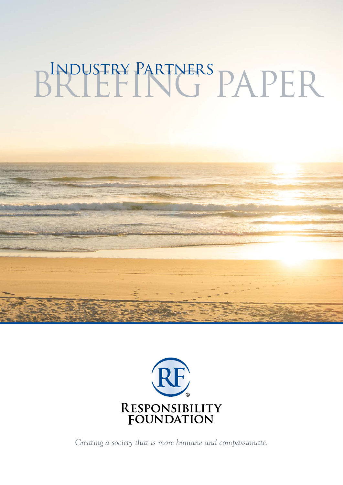# BRIEFING PAPER



*Creating a society that is more humane and compassionate.*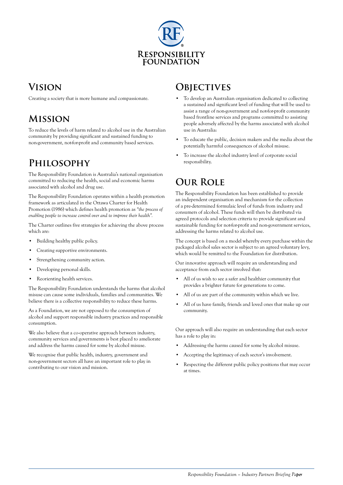

# **Vision**

Creating a society that is more humane and compassionate.

# **Mission**

To reduce the levels of harm related to alcohol use in the Australian community by providing significant and sustained funding to non‑government, not-for-profit and community based services.

## **Philosophy**

The Responsibility Foundation is Australia's national organisation committed to reducing the health, social and economic harms associated with alcohol and drug use.

The Responsibility Foundation operates within a health promotion framework as articulated in the Ottawa Charter for Health Promotion (1986) which defines health promotion as *"the process of enabling people to increase control over and to improve their health".*

The Charter outlines five strategies for achieving the above process which are:

- Building healthy public policy.
- Creating supportive environments.
- Strengthening community action.
- Developing personal skills.
- Reorienting health services.

The Responsibility Foundation understands the harms that alcohol misuse can cause some individuals, families and communities. We believe there is a collective responsibility to reduce these harms.

As a Foundation, we are not opposed to the consumption of alcohol and support responsible industry practices and responsible consumption.

We also believe that a co-operative approach between industry, community services and governments is best placed to ameliorate and address the harms caused for some by alcohol misuse.

We recognise that public health, industry, government and non-government sectors all have an important role to play in contributing to our vision and mission.

### **OBJECTIVES**

- To develop an Australian organisation dedicated to collecting a sustained and significant level of funding that will be used to assist a range of non-government and not-for-profit community based frontline services and programs committed to assisting people adversely affected by the harms associated with alcohol use in Australia:
- To educate the public, decision makers and the media about the potentially harmful consequences of alcohol misuse.
- To increase the alcohol industry level of corporate social responsibility.

# **Our Role**

The Responsibility Foundation has been established to provide an independent organisation and mechanism for the collection of a pre‑determined formulaic level of funds from industry and consumers of alcohol. These funds will then be distributed via agreed protocols and selection criteria to provide significant and sustainable funding for not-for-profit and non-government services, addressing the harms related to alcohol use.

The concept is based on a model whereby every purchase within the packaged alcohol sales sector is subject to an agreed voluntary levy, which would be remitted to the Foundation for distribution.

Our innovative approach will require an understanding and acceptance from each sector involved that:

- All of us wish to see a safer and healthier community that provides a brighter future for generations to come.
- All of us are part of the community within which we live.
- All of us have family, friends and loved ones that make up our community.

Our approach will also require an understanding that each sector has a role to play in:

- Addressing the harms caused for some by alcohol misuse.
- Accepting the legitimacy of each sector's involvement.
- Respecting the different public policy positions that may occur at times.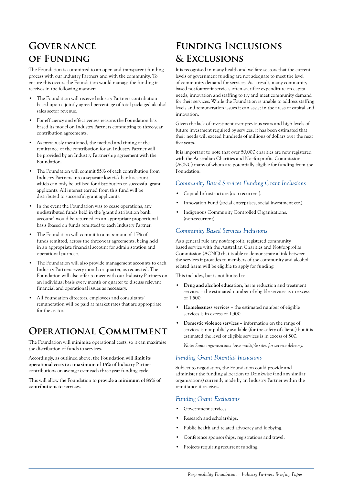# **Governance of Funding**

The Foundation is committed to an open and transparent funding process with our Industry Partners and with the community. To ensure this occurs the Foundation would manage the funding it receives in the following manner:

- The Foundation will receive Industry Partners contribution based upon a jointly agreed percentage of total packaged alcohol sales sector revenue.
- For efficiency and effectiveness reasons the Foundation has based its model on Industry Partners committing to three-year contribution agreements.
- As previously mentioned, the method and timing of the remittance of the contribution for an Industry Partner will be provided by an Industry Partnership agreement with the Foundation.
- The Foundation will commit 85% of each contribution from Industry Partners into a separate low risk bank account, which can only be utilised for distribution to successful grant applicants. All interest earned from this fund will be distributed to successful grant applicants.
- In the event the Foundation was to cease operations, any undistributed funds held in the 'grant distribution bank account', would be returned on an appropriate proportional basis (based on funds remitted) to each Industry Partner.
- The Foundation will commit to a maximum of 15% of funds remitted, across the three-year agreements, being held in an appropriate financial account for administration and operational purposes.
- The Foundation will also provide management accounts to each Industry Partners every month or quarter, as requested. The Foundation will also offer to meet with our Industry Partners on an individual basis every month or quarter to discuss relevant financial and operational issues as necessary.
- All Foundation directors, employees and consultants' remuneration will be paid at market rates that are appropriate for the sector.

# **Operational Commitment**

The Foundation will minimise operational costs, so it can maximise the distribution of funds to services.

Accordingly, as outlined above, the Foundation will **limit its operational costs to a maximum of 15%** of Industry Partner contributions on average over each three-year funding cycle.

This will allow the Foundation to **provide a minimum of 85% of contributions to services**.

# **Funding Inclusions & Exclusions**

It is recognised in many health and welfare sectors that the current levels of government funding are not adequate to meet the level of community demand for services. As a result, many community based not-for-profit services often sacrifice expenditure on capital needs, innovation and staffing to try and meet community demand for their services. While the Foundation is unable to address staffing levels and remuneration issues it can assist in the areas of capital and innovation.

Given the lack of investment over previous years and high levels of future investment required by services, it has been estimated that their needs will exceed hundreds of millions of dollars over the next five years.

It is important to note that over 50,000 charities are now registered with the Australian Charities and Not-for-profits Commission (ACNC) many of whom are potentially eligible for funding from the Foundation.

#### *Community Based Services Funding Grant Inclusions*

- Capital Infrastructure (non-recurrent).
- Innovation Fund (social enterprises, social investment etc.).
- Indigenous Community Controlled Organisations. (non‑recurrent).

#### *Community Based Services Inclusions*

As a general rule any not-for-profit, registered community based service with the Australian Charities and Not-for-profits Commission (ACNC) that is able to demonstrate a link between the services it provides to members of the community and alcohol related harm will be eligible to apply for funding.

This includes, but is not limited to:

- **Drug and alcohol education**, harm reduction and treatment services – the estimated number of eligible services is in excess of 1,500.
- Homelessness services the estimated number of eligible services is in excess of 1,300.
- **Domestic violence services** information on the range of services is not publicly available (for the safety of clients) but it is estimated the level of eligible services is in excess of 500.

*Note: Some organisations have multiple sites for service delivery.*

#### *Funding Grant Potential Inclusions*

Subject to negotiation, the Foundation could provide and administer the funding allocation to Drinkwise (and any similar organisations) currently made by an Industry Partner within the remittance it receives.

#### *Funding Grant Exclusions*

- Government services.
- Research and scholarships.
- Public health and related advocacy and lobbying.
- Conference sponsorships, registrations and travel.
- Projects requiring recurrent funding.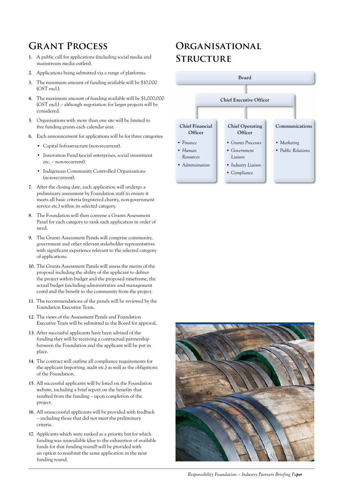# **Grant Process**

- **1**. A public call for applications (including social media and mainstream media outlets).
- **2**. Applications being submitted via a range of platforms.
- **3**. The minimum amount of funding available will be \$10,000 (GST excl.).
- **4**. The maximum amount of funding available will be \$1,000,000 (GST excl.) – although negotiation for larger projects will be considered.
- **5**. Organisations with more than one site will be limited to five funding grants each calendar year.
- **6**. Each announcement for applications will be for three categories:
	- Capital Infrastructure (non-recurrent).
	- Innovation Fund (social enterprises, social investment etc. – non-recurrent).
	- Indigenous Community Controlled Organisations (non‑recurrent).
- **7**. After the closing date, each application will undergo a preliminary assessment by Foundation staff to ensure it meets all basic criteria (registered charity, non-government service etc.) within its selected category.
- **8**. The Foundation will then convene a Grants Assessment Panel for each category to rank each application in order of need.
- **9**. The Grants Assessment Panels will comprise community, government and other relevant stakeholder representatives with significant experience relevant to the selected category of applications.
- **10**. The Grants Assessment Panels will assess the merits of the proposal including the ability of the applicant to deliver the project within budget and the proposed timeframe, the actual budget (including administrative and management costs) and the benefit to the community from the project.
- **11**. The recommendations of the panels will be reviewed by the Foundation Executive Team.
- **12**. The views of the Assessment Panels and Foundation Executive Team will be submitted to the Board for approval.
- **13**. After successful applicants have been advised of the funding they will be receiving a contractual partnership between the Foundation and the applicant will be put in place.
- **14**. The contract will outline all compliance requirements for the applicant (reporting, audit etc.) as well as the obligations of the Foundation.
- **15**. All successful applicants will be listed on the Foundation website, including a brief report on the benefits that resulted from the funding – upon completion of the project.
- **16**. All unsuccessful applicants will be provided with feedback – including those that did not meet the preliminary criteria.
- **17**. Applicants which were ranked as a priority but for which funding was unavailable (due to the exhaustion of available funds for that funding round) will be provided with an option to resubmit the same application in the next funding round.

# **Organisational Structure**





*Responsibility Foundation – Industry Partners Briefing Paper per*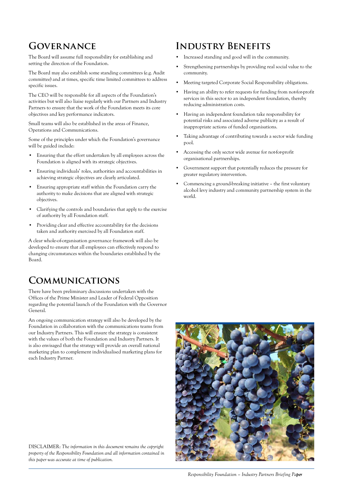## **Governance**

The Board will assume full responsibility for establishing and setting the direction of the Foundation.

The Board may also establish some standing committees (e.g. Audit committee) and at times, specific time limited committees to address specific issues.

The CEO will be responsible for all aspects of the Foundation's activities but will also liaise regularly with our Partners and Industry Partners to ensure that the work of the Foundation meets its core objectives and key performance indicators.

Small teams will also be established in the areas of Finance, Operations and Communications.

Some of the principles under which the Foundation's governance will be guided include:

- Ensuring that the effort undertaken by all employees across the Foundation is aligned with its strategic objectives.
- Ensuring individuals' roles, authorities and accountabilities in achieving strategic objectives are clearly articulated.
- Ensuring appropriate staff within the Foundation carry the authority to make decisions that are aligned with strategic objectives.
- Clarifying the controls and boundaries that apply to the exercise of authority by all Foundation staff.
- Providing clear and effective accountability for the decisions taken and authority exercised by all Foundation staff.

A clear whole-of-organisation governance framework will also be developed to ensure that all employees can effectively respond to changing circumstances within the boundaries established by the Board.

## **Communications**

There have been preliminary discussions undertaken with the Offices of the Prime Minister and Leader of Federal Opposition regarding the potential launch of the Foundation with the Governor General.

An ongoing communication strategy will also be developed by the Foundation in collaboration with the communications teams from our Industry Partners. This will ensure the strategy is consistent with the values of both the Foundation and Industry Partners. It is also envisaged that the strategy will provide an overall national marketing plan to complement individualised marketing plans for each Industry Partner.

**Industry Benefits** 

- Increased standing and good will in the community.
- Strengthening partnerships by providing real social value to the community.
- Meeting targeted Corporate Social Responsibility obligations.
- Having an ability to refer requests for funding from not-for-profit services in this sector to an independent foundation, thereby reducing administration costs.
- Having an independent foundation take responsibility for potential risks and associated adverse publicity as a result of inappropriate actions of funded organisations.
- Taking advantage of contributing towards a sector wide funding pool.
- Accessing the only sector wide avenue for not-for-profit organisational partnerships.
- Government support that potentially reduces the pressure for greater regulatory intervention.
- Commencing a ground-breaking initiative the first voluntary alcohol levy industry and community partnership system in the world.